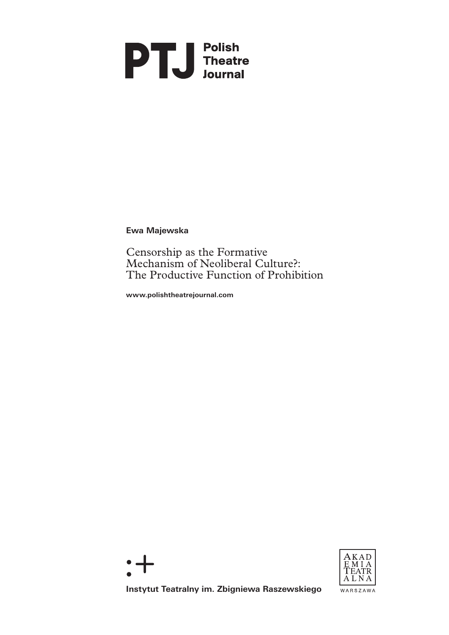## **PTU** Polish<br>
Theatre<br>
Journal

**Ewa Majewska**

Censorship as the Formative Mechanism of Neoliberal Culture?: The Productive Function of Prohibition

**www.polishtheatrejournal.com**





**Instytut Teatralny im. Zbigniewa Raszewskiego**

WARSZAWA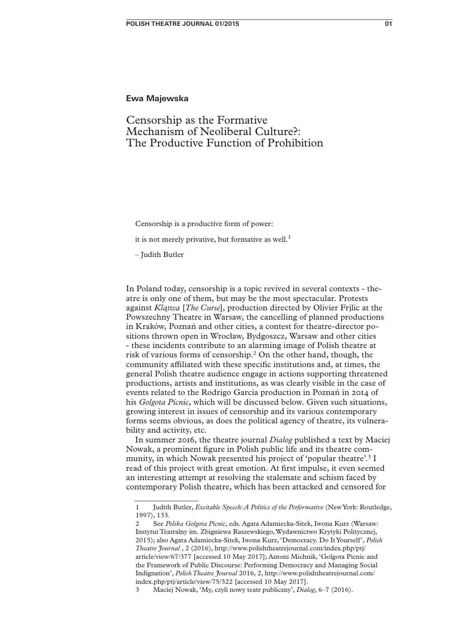## **Ewa Majewska**

## Censorship as the Formative Mechanism of Neoliberal Culture?: The Productive Function of Prohibition

Censorship is a productive form of power:

it is not merely privative, but formative as well.<sup>1</sup>

– Judith Butler

In Poland today, censorship is a topic revived in several contexts - theatre is only one of them, but may be the most spectacular. Protests against *Klątwa* [*The Curse*], production directed by Olivier Frjlic at the Powszechny Theatre in Warsaw, the cancelling of planned productions in Kraków, Poznań and other cities, a contest for theatre-director positions thrown open in Wrocław, Bydgoszcz, Warsaw and other cities - these incidents contribute to an alarming image of Polish theatre at risk of various forms of censorship.<sup>2</sup> On the other hand, though, the community affiliated with these specific institutions and, at times, the general Polish theatre audience engage in actions supporting threatened productions, artists and institutions, as was clearly visible in the case of events related to the Rodrigo Garcia production in Poznań in 2014 of his *Golgota Picnic*, which will be discussed below. Given such situations, growing interest in issues of censorship and its various contemporary forms seems obvious, as does the political agency of theatre, its vulnerability and activity, etc.

In summer 2016, the theatre journal *Dialog* published a text by Maciej Nowak, a prominent figure in Polish public life and its theatre community, in which Nowak presented his project of 'popular theatre'.3 I read of this project with great emotion. At first impulse, it even seemed an interesting attempt at resolving the stalemate and schism faced by contemporary Polish theatre, which has been attacked and censored for

<sup>1</sup> Judith Butler, *Excitable Speech: A Politics of the Performative* (New York: Routledge, 1997), 133.

<sup>2</sup> See *Polska Golgota Picnic*, eds. Agata Adamiecka-Sitek, Iwona Kurz (Warsaw: Instytut Teatralny im. Zbigniewa Raszewskiego, Wydawnictwo Krytyki Politycznej, 2015); also Agata Adamiecka-Sitek, Iwona Kurz, 'Democracy. Do It Yourself', *Polish Theatre Journal* , 2 (2016), http://www.polishtheatrejournal.com/index.php/ptj/ article/view/67/377 [accessed 10 May 2017]; Antoni Michnik, 'Golgota Picnic and the Framework of Public Discourse: Performing Democracy and Managing Social Indignation', *Polish Theatre Journal* 2016, 2, http://www.polishtheatrejournal.com/ index.php/ptj/article/view/75/322 [accessed 10 May 2017].

<sup>3</sup> Maciej Nowak, 'My, czyli nowy teatr publiczny', *Dialog*, 6–7 (2016).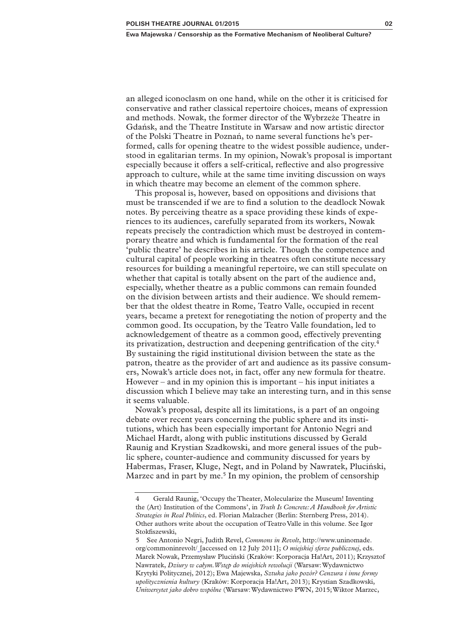an alleged iconoclasm on one hand, while on the other it is criticised for conservative and rather classical repertoire choices, means of expression and methods. Nowak, the former director of the Wybrzeże Theatre in Gdańsk, and the Theatre Institute in Warsaw and now artistic director of the Polski Theatre in Poznań, to name several functions he's performed, calls for opening theatre to the widest possible audience, understood in egalitarian terms. In my opinion, Nowak's proposal is important especially because it offers a self-critical, reflective and also progressive approach to culture, while at the same time inviting discussion on ways in which theatre may become an element of the common sphere.

This proposal is, however, based on oppositions and divisions that must be transcended if we are to find a solution to the deadlock Nowak notes. By perceiving theatre as a space providing these kinds of experiences to its audiences, carefully separated from its workers, Nowak repeats precisely the contradiction which must be destroyed in contemporary theatre and which is fundamental for the formation of the real 'public theatre' he describes in his article. Though the competence and cultural capital of people working in theatres often constitute necessary resources for building a meaningful repertoire, we can still speculate on whether that capital is totally absent on the part of the audience and, especially, whether theatre as a public commons can remain founded on the division between artists and their audience. We should remember that the oldest theatre in Rome, Teatro Valle, occupied in recent years, became a pretext for renegotiating the notion of property and the common good. Its occupation, by the Teatro Valle foundation, led to acknowledgement of theatre as a common good, effectively preventing its privatization, destruction and deepening gentrification of the city.4 By sustaining the rigid institutional division between the state as the patron, theatre as the provider of art and audience as its passive consumers, Nowak's article does not, in fact, offer any new formula for theatre. However – and in my opinion this is important – his input initiates a discussion which I believe may take an interesting turn, and in this sense it seems valuable.

Nowak's proposal, despite all its limitations, is a part of an ongoing debate over recent years concerning the public sphere and its institutions, which has been especially important for Antonio Negri and Michael Hardt, along with public institutions discussed by Gerald Raunig and Krystian Szadkowski, and more general issues of the public sphere, counter-audience and community discussed for years by Habermas, Fraser, Kluge, Negt, and in Poland by Nawratek, Pluciński, Marzec and in part by me.<sup>5</sup> In my opinion, the problem of censorship

<sup>4</sup> Gerald Raunig, 'Occupy the Theater, Molecularize the Museum! Inventing the (Art) Institution of the Commons', in *Truth Is Concrete: A Handbook for Artistic Strategies in Real Politics*, ed. Florian Malzacher (Berlin: Sternberg Press, 2014). Other authors write about the occupation of Teatro Valle in this volume. See Igor Stokfiszewski,

<sup>5</sup> See Antonio Negri, Judith Revel, *Commons in Revolt*, http://www.uninomade. org/commoninrevolt/ [accessed on 12 July 2011]; *O miejskiej sferze publicznej*, eds. Marek Nowak, Przemysław Pluciński (Kraków: Korporacja Ha!Art, 2011); Krzysztof Nawratek, *Dziury w całym. Wstęp do miejskich rewolucji* (Warsaw: Wydawnictwo Krytyki Politycznej, 2012); Ewa Majewska, *Sztuka jako pozór? Cenzura i inne formy upolitycznienia kultury* (Kraków: Korporacja Ha!Art, 2013); Krystian Szadkowski, *Uniwersytet jako dobro wspólne* (Warsaw: Wydawnictwo PWN, 2015; Wiktor Marzec,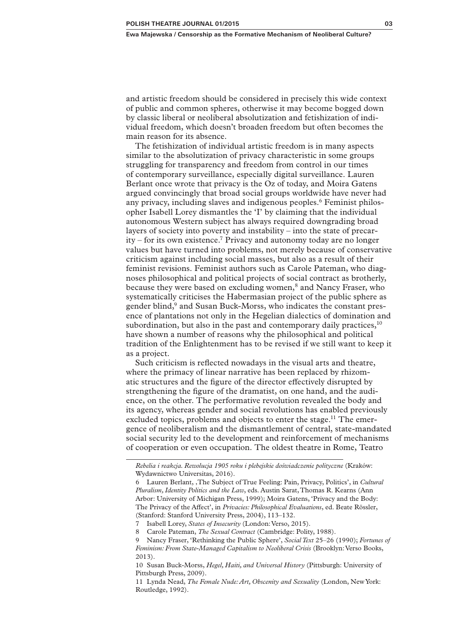and artistic freedom should be considered in precisely this wide context of public and common spheres, otherwise it may become bogged down by classic liberal or neoliberal absolutization and fetishization of individual freedom, which doesn't broaden freedom but often becomes the main reason for its absence.

The fetishization of individual artistic freedom is in many aspects similar to the absolutization of privacy characteristic in some groups struggling for transparency and freedom from control in our times of contemporary surveillance, especially digital surveillance. Lauren Berlant once wrote that privacy is the Oz of today, and Moira Gatens argued convincingly that broad social groups worldwide have never had any privacy, including slaves and indigenous peoples.<sup>6</sup> Feminist philosopher Isabell Lorey dismantles the 'I' by claiming that the individual autonomous Western subject has always required downgrading broad layers of society into poverty and instability – into the state of precar $ity$  – for its own existence.<sup>7</sup> Privacy and autonomy today are no longer values but have turned into problems, not merely because of conservative criticism against including social masses, but also as a result of their feminist revisions. Feminist authors such as Carole Pateman, who diagnoses philosophical and political projects of social contract as brotherly, because they were based on excluding women,<sup>8</sup> and Nancy Fraser, who systematically criticises the Habermasian project of the public sphere as gender blind,<sup>9</sup> and Susan Buck-Morss, who indicates the constant presence of plantations not only in the Hegelian dialectics of domination and subordination, but also in the past and contemporary daily practices, $10$ have shown a number of reasons why the philosophical and political tradition of the Enlightenment has to be revised if we still want to keep it as a project.

Such criticism is reflected nowadays in the visual arts and theatre, where the primacy of linear narrative has been replaced by rhizomatic structures and the figure of the director effectively disrupted by strengthening the figure of the dramatist, on one hand, and the audience, on the other. The performative revolution revealed the body and its agency, whereas gender and social revolutions has enabled previously excluded topics, problems and objects to enter the stage.<sup>11</sup> The emergence of neoliberalism and the dismantlement of central, state-mandated social security led to the development and reinforcement of mechanisms of cooperation or even occupation. The oldest theatre in Rome, Teatro

*Rebelia i reakcja. Rewolucja 1905 roku i plebejskie doświadczenie polityczne* (Kraków: Wydawnictwo Universitas, 2016).

<sup>6</sup> Lauren Berlant, 'The Subject of True Feeling: Pain, Privacy, Politics', in *Cultural Pluralism, Identity Politics and the Law*, eds. Austin Sarat, Thomas R. Kearns (Ann Arbor: University of Michigan Press, 1999); Moira Gatens, 'Privacy and the Body: The Privacy of the Affect', in *Privacies: Philosophical Evaluations*, ed. Beate Rössler, (Stanford: Stanford University Press, 2004), 113–132.

<sup>7</sup> Isabell Lorey, *States of Insecurity* (London: Verso, 2015).

<sup>8</sup> Carole Pateman, *The Sexual Contract* (Cambridge: Polity, 1988).

<sup>9</sup> Nancy Fraser, 'Rethinking the Public Sphere', *Social Text* 25–26 (1990); *Fortunes of Feminism: From State-Managed Capitalism to Neoliberal Crisis* (Brooklyn: Verso Books, 2013).

<sup>10</sup> Susan Buck-Morss, *Hegel, Haiti, and Universal History* (Pittsburgh: University of Pittsburgh Press, 2009).

<sup>11</sup> Lynda Nead, *The Female Nude: Art, Obscenity and Sexuality* (London, New York: Routledge, 1992).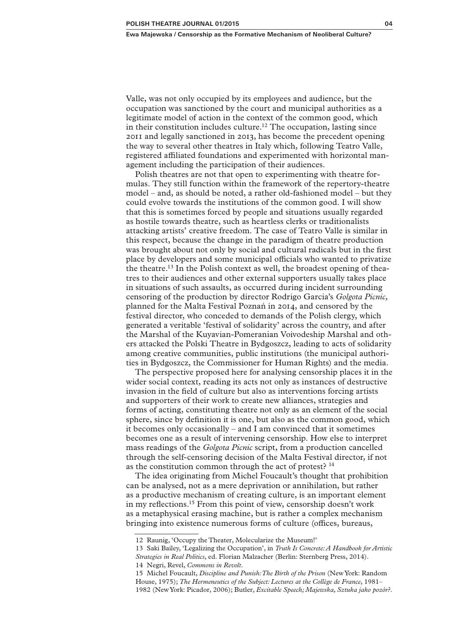Valle, was not only occupied by its employees and audience, but the occupation was sanctioned by the court and municipal authorities as a legitimate model of action in the context of the common good, which in their constitution includes culture.<sup>12</sup> The occupation, lasting since 2011 and legally sanctioned in 2013, has become the precedent opening the way to several other theatres in Italy which, following Teatro Valle, registered affiliated foundations and experimented with horizontal management including the participation of their audiences.

Polish theatres are not that open to experimenting with theatre formulas. They still function within the framework of the repertory-theatre model – and, as should be noted, a rather old-fashioned model – but they could evolve towards the institutions of the common good. I will show that this is sometimes forced by people and situations usually regarded as hostile towards theatre, such as heartless clerks or traditionalists attacking artists' creative freedom. The case of Teatro Valle is similar in this respect, because the change in the paradigm of theatre production was brought about not only by social and cultural radicals but in the first place by developers and some municipal officials who wanted to privatize the theatre.<sup>13</sup> In the Polish context as well, the broadest opening of theatres to their audiences and other external supporters usually takes place in situations of such assaults, as occurred during incident surrounding censoring of the production by director Rodrigo Garcia's *Golgota Picnic,* planned for the Malta Festival Poznań in 2014, and censored by the festival director, who conceded to demands of the Polish clergy, which generated a veritable 'festival of solidarity' across the country, and after the Marshal of the Kuyavian-Pomeranian Voivodeship Marshal and others attacked the Polski Theatre in Bydgoszcz, leading to acts of solidarity among creative communities, public institutions (the municipal authorities in Bydgoszcz, the Commissioner for Human Rights) and the media.

The perspective proposed here for analysing censorship places it in the wider social context, reading its acts not only as instances of destructive invasion in the field of culture but also as interventions forcing artists and supporters of their work to create new alliances, strategies and forms of acting, constituting theatre not only as an element of the social sphere, since by definition it is one, but also as the common good, which it becomes only occasionally – and I am convinced that it sometimes becomes one as a result of intervening censorship. How else to interpret mass readings of the *Golgota Picnic* script, from a production cancelled through the self-censoring decision of the Malta Festival director, if not as the constitution common through the act of protest?<sup>14</sup>

The idea originating from Michel Foucault's thought that prohibition can be analysed, not as a mere deprivation or annihilation, but rather as a productive mechanism of creating culture, is an important element in my reflections.15 From this point of view, censorship doesn't work as a metaphysical erasing machine, but is rather a complex mechanism bringing into existence numerous forms of culture (offices, bureaus,

<sup>12</sup> Raunig, 'Occupy the Theater, Molecularize the Museum!'

<sup>13</sup> Saki Bailey, 'Legalizing the Occupation', in *Truth Is Concrete: A Handbook for Artistic Strategies in Real Politics*, ed. Florian Malzacher (Berlin: Sternberg Press, 2014). 14 Negri, Revel, *Commons in Revolt*.

<sup>15</sup> Michel Foucault, *Discipline and Punish: The Birth of the Prison* (New York: Random House, 1975); *The Hermeneutics of the Subject: Lectures at the Collège de France*, 1981– 1982 (New York: Picador, 2006); Butler, *Excitable Speech; Majewska, Sztuka jako pozór?*.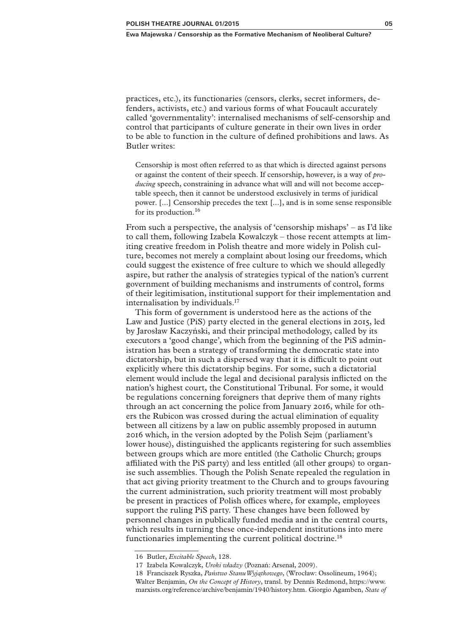practices, etc.), its functionaries (censors, clerks, secret informers, defenders, activists, etc.) and various forms of what Foucault accurately called 'governmentality': internalised mechanisms of self-censorship and control that participants of culture generate in their own lives in order to be able to function in the culture of defined prohibitions and laws. As Butler writes:

Censorship is most often referred to as that which is directed against persons or against the content of their speech. If censorship, however, is a way of *producing* speech, constraining in advance what will and will not become acceptable speech, then it cannot be understood exclusively in terms of juridical power. [...] Censorship precedes the text [...], and is in some sense responsible for its production.16

From such a perspective, the analysis of 'censorship mishaps' – as I'd like to call them, following Izabela Kowalczyk – those recent attempts at limiting creative freedom in Polish theatre and more widely in Polish culture, becomes not merely a complaint about losing our freedoms, which could suggest the existence of free culture to which we should allegedly aspire, but rather the analysis of strategies typical of the nation's current government of building mechanisms and instruments of control, forms of their legitimisation, institutional support for their implementation and internalisation by individuals.17

This form of government is understood here as the actions of the Law and Justice (PiS) party elected in the general elections in 2015, led by Jarosław Kaczyński, and their principal methodology, called by its executors a 'good change', which from the beginning of the PiS administration has been a strategy of transforming the democratic state into dictatorship, but in such a dispersed way that it is difficult to point out explicitly where this dictatorship begins. For some, such a dictatorial element would include the legal and decisional paralysis inflicted on the nation's highest court, the Constitutional Tribunal. For some, it would be regulations concerning foreigners that deprive them of many rights through an act concerning the police from January 2016, while for others the Rubicon was crossed during the actual elimination of equality between all citizens by a law on public assembly proposed in autumn 2016 which, in the version adopted by the Polish Sejm (parliament's lower house), distinguished the applicants registering for such assemblies between groups which are more entitled (the Catholic Church; groups affiliated with the PiS party) and less entitled (all other groups) to organise such assemblies. Though the Polish Senate repealed the regulation in that act giving priority treatment to the Church and to groups favouring the current administration, such priority treatment will most probably be present in practices of Polish offices where, for example, employees support the ruling PiS party. These changes have been followed by personnel changes in publically funded media and in the central courts, which results in turning these once-independent institutions into mere functionaries implementing the current political doctrine.<sup>18</sup>

<sup>16</sup> Butler, *Excitable Speech*, 128.

<sup>17</sup> Izabela Kowalczyk, *Uroki władzy* (Poznań: Arsenał, 2009).

<sup>18</sup> Franciszek Ryszka, *Państwo Stanu Wyjątkowego*, (Wrocław: Ossolineum, 1964); Walter Benjamin, *On the Concept of History*, transl. by Dennis Redmond, https://www. marxists.org/reference/archive/benjamin/1940/history.htm. Giorgio Agamben, *State of*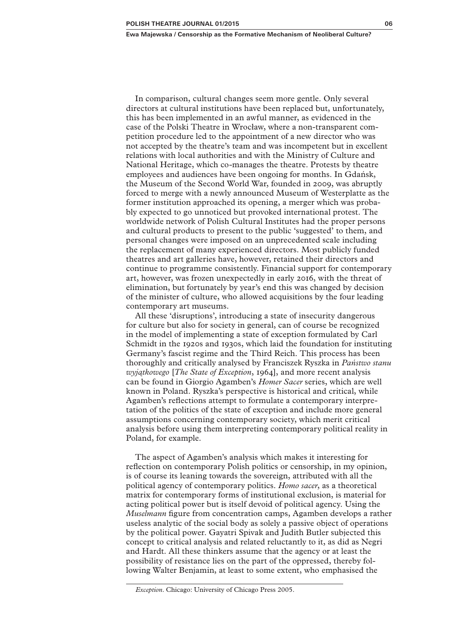**Ewa Majewska / Censorship as the Formative Mechanism of Neoliberal Culture?**

In comparison, cultural changes seem more gentle. Only several directors at cultural institutions have been replaced but, unfortunately, this has been implemented in an awful manner, as evidenced in the case of the Polski Theatre in Wrocław, where a non-transparent competition procedure led to the appointment of a new director who was not accepted by the theatre's team and was incompetent but in excellent relations with local authorities and with the Ministry of Culture and National Heritage, which co-manages the theatre. Protests by theatre employees and audiences have been ongoing for months. In Gdańsk, the Museum of the Second World War, founded in 2009, was abruptly forced to merge with a newly announced Museum of Westerplatte as the former institution approached its opening, a merger which was probably expected to go unnoticed but provoked international protest. The worldwide network of Polish Cultural Institutes had the proper persons and cultural products to present to the public 'suggested' to them, and personal changes were imposed on an unprecedented scale including the replacement of many experienced directors. Most publicly funded theatres and art galleries have, however, retained their directors and continue to programme consistently. Financial support for contemporary art, however, was frozen unexpectedly in early 2016, with the threat of elimination, but fortunately by year's end this was changed by decision of the minister of culture, who allowed acquisitions by the four leading contemporary art museums.

All these 'disruptions', introducing a state of insecurity dangerous for culture but also for society in general, can of course be recognized in the model of implementing a state of exception formulated by Carl Schmidt in the 1920s and 1930s, which laid the foundation for instituting Germany's fascist regime and the Third Reich. This process has been thoroughly and critically analysed by Franciszek Ryszka in *Państwo stanu wyjątkowego* [*The State of Exception*, 1964], and more recent analysis can be found in Giorgio Agamben's *Homer Sacer* series, which are well known in Poland. Ryszka's perspective is historical and critical, while Agamben's reflections attempt to formulate a contemporary interpretation of the politics of the state of exception and include more general assumptions concerning contemporary society, which merit critical analysis before using them interpreting contemporary political reality in Poland, for example.

The aspect of Agamben's analysis which makes it interesting for reflection on contemporary Polish politics or censorship, in my opinion, is of course its leaning towards the sovereign, attributed with all the political agency of contemporary politics. *Homo sacer*, as a theoretical matrix for contemporary forms of institutional exclusion, is material for acting political power but is itself devoid of political agency. Using the *Muselmann* figure from concentration camps, Agamben develops a rather useless analytic of the social body as solely a passive object of operations by the political power. Gayatri Spivak and Judith Butler subjected this concept to critical analysis and related reluctantly to it, as did as Negri and Hardt. All these thinkers assume that the agency or at least the possibility of resistance lies on the part of the oppressed, thereby following Walter Benjamin, at least to some extent, who emphasised the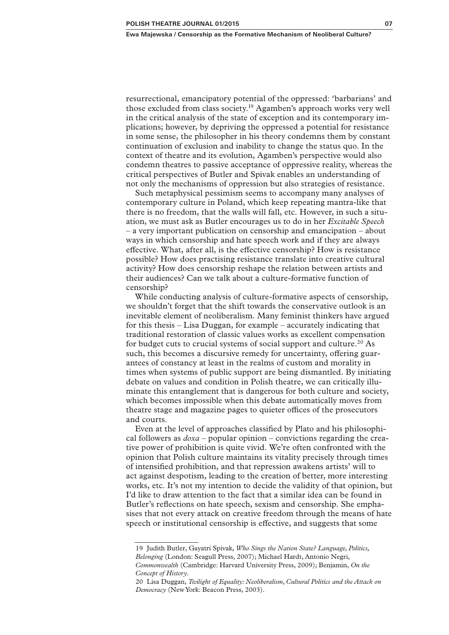resurrectional, emancipatory potential of the oppressed: 'barbarians' and those excluded from class society.19 Agamben's approach works very well in the critical analysis of the state of exception and its contemporary implications; however, by depriving the oppressed a potential for resistance in some sense, the philosopher in his theory condemns them by constant continuation of exclusion and inability to change the status quo. In the context of theatre and its evolution, Agamben's perspective would also condemn theatres to passive acceptance of oppressive reality, whereas the critical perspectives of Butler and Spivak enables an understanding of not only the mechanisms of oppression but also strategies of resistance.

Such metaphysical pessimism seems to accompany many analyses of contemporary culture in Poland, which keep repeating mantra-like that there is no freedom, that the walls will fall, etc. However, in such a situation, we must ask as Butler encourages us to do in her *Excitable Speech* – a very important publication on censorship and emancipation – about ways in which censorship and hate speech work and if they are always effective. What, after all, is the effective censorship? How is resistance possible? How does practising resistance translate into creative cultural activity? How does censorship reshape the relation between artists and their audiences? Can we talk about a culture-formative function of censorship?

While conducting analysis of culture-formative aspects of censorship, we shouldn't forget that the shift towards the conservative outlook is an inevitable element of neoliberalism. Many feminist thinkers have argued for this thesis – Lisa Duggan, for example – accurately indicating that traditional restoration of classic values works as excellent compensation for budget cuts to crucial systems of social support and culture.<sup>20</sup> As such, this becomes a discursive remedy for uncertainty, offering guarantees of constancy at least in the realms of custom and morality in times when systems of public support are being dismantled. By initiating debate on values and condition in Polish theatre, we can critically illuminate this entanglement that is dangerous for both culture and society, which becomes impossible when this debate automatically moves from theatre stage and magazine pages to quieter offices of the prosecutors and courts.

Even at the level of approaches classified by Plato and his philosophical followers as *doxa* – popular opinion – convictions regarding the creative power of prohibition is quite vivid. We're often confronted with the opinion that Polish culture maintains its vitality precisely through times of intensified prohibition, and that repression awakens artists' will to act against despotism, leading to the creation of better, more interesting works, etc. It's not my intention to decide the validity of that opinion, but I'd like to draw attention to the fact that a similar idea can be found in Butler's reflections on hate speech, sexism and censorship. She emphasises that not every attack on creative freedom through the means of hate speech or institutional censorship is effective, and suggests that some

<sup>19</sup> Judith Butler, Gayatri Spivak, *Who Sings the Nation State? Language, Politics, Belonging* (London: Seagull Press, 2007); Michael Hardt, Antonio Negri, *Commonwealth* (Cambridge: Harvard University Press, 2009); Benjamin, *On the Concept of History*.

<sup>20</sup> Lisa Duggan, *Twilight of Equality: Neoliberalism, Cultural Politics and the Attack on Democracy* (New York: Beacon Press, 2003).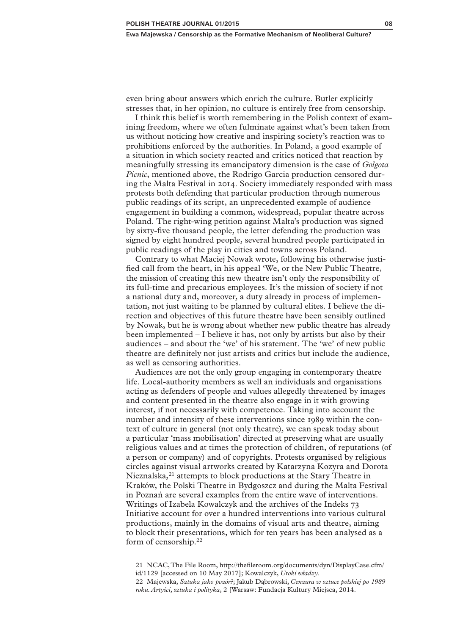even bring about answers which enrich the culture. Butler explicitly stresses that, in her opinion, no culture is entirely free from censorship.

I think this belief is worth remembering in the Polish context of examining freedom, where we often fulminate against what's been taken from us without noticing how creative and inspiring society's reaction was to prohibitions enforced by the authorities. In Poland, a good example of a situation in which society reacted and critics noticed that reaction by meaningfully stressing its emancipatory dimension is the case of *Golgota Picnic*, mentioned above, the Rodrigo Garcia production censored during the Malta Festival in 2014. Society immediately responded with mass protests both defending that particular production through numerous public readings of its script, an unprecedented example of audience engagement in building a common, widespread, popular theatre across Poland. The right-wing petition against Malta's production was signed by sixty-five thousand people, the letter defending the production was signed by eight hundred people, several hundred people participated in public readings of the play in cities and towns across Poland.

Contrary to what Maciej Nowak wrote, following his otherwise justified call from the heart, in his appeal 'We, or the New Public Theatre, the mission of creating this new theatre isn't only the responsibility of its full-time and precarious employees. It's the mission of society if not a national duty and, moreover, a duty already in process of implementation, not just waiting to be planned by cultural elites. I believe the direction and objectives of this future theatre have been sensibly outlined by Nowak, but he is wrong about whether new public theatre has already been implemented – I believe it has, not only by artists but also by their audiences – and about the 'we' of his statement. The 'we' of new public theatre are definitely not just artists and critics but include the audience, as well as censoring authorities.

Audiences are not the only group engaging in contemporary theatre life. Local-authority members as well an individuals and organisations acting as defenders of people and values allegedly threatened by images and content presented in the theatre also engage in it with growing interest, if not necessarily with competence. Taking into account the number and intensity of these interventions since 1989 within the context of culture in general (not only theatre), we can speak today about a particular 'mass mobilisation' directed at preserving what are usually religious values and at times the protection of children, of reputations (of a person or company) and of copyrights. Protests organised by religious circles against visual artworks created by Katarzyna Kozyra and Dorota Nieznalska,<sup>21</sup> attempts to block productions at the Stary Theatre in Kraków, the Polski Theatre in Bydgoszcz and during the Malta Festival in Poznań are several examples from the entire wave of interventions. Writings of Izabela Kowalczyk and the archives of the Indeks 73 Initiative account for over a hundred interventions into various cultural productions, mainly in the domains of visual arts and theatre, aiming to block their presentations, which for ten years has been analysed as a form of censorship.22

<sup>21</sup> NCAC, The File Room, http://thefileroom.org/documents/dyn/DisplayCase.cfm/ id/1129 [accessed on 10 May 2017]; Kowalczyk, *Uroki władzy*.

<sup>22</sup> Majewska, *Sztuka jako pozór?*; Jakub Dąbrowski, *Cenzura w sztuce polskiej po 1989 roku. Artyści, sztuka i polityka*, 2 [Warsaw: Fundacja Kultury Miejsca, 2014.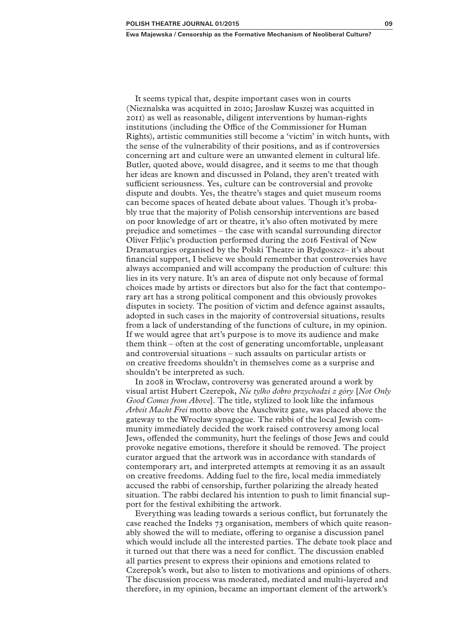**Ewa Majewska / Censorship as the Formative Mechanism of Neoliberal Culture?**

It seems typical that, despite important cases won in courts (Nieznalska was acquitted in 2010; Jarosław Kuszej was acquitted in 2011) as well as reasonable, diligent interventions by human-rights institutions (including the Office of the Commissioner for Human Rights), artistic communities still become a 'victim' in witch hunts, with the sense of the vulnerability of their positions, and as if controversies concerning art and culture were an unwanted element in cultural life. Butler, quoted above, would disagree, and it seems to me that though her ideas are known and discussed in Poland, they aren't treated with sufficient seriousness. Yes, culture can be controversial and provoke dispute and doubts. Yes, the theatre's stages and quiet museum rooms can become spaces of heated debate about values. Though it's probably true that the majority of Polish censorship interventions are based on poor knowledge of art or theatre, it's also often motivated by mere prejudice and sometimes – the case with scandal surrounding director Oliver Frljic's production performed during the 2016 Festival of New Dramaturgies organised by the Polski Theatre in Bydgoszcz– it's about financial support, I believe we should remember that controversies have always accompanied and will accompany the production of culture: this lies in its very nature. It's an area of dispute not only because of formal choices made by artists or directors but also for the fact that contemporary art has a strong political component and this obviously provokes disputes in society. The position of victim and defence against assaults, adopted in such cases in the majority of controversial situations, results from a lack of understanding of the functions of culture, in my opinion. If we would agree that art's purpose is to move its audience and make them think – often at the cost of generating uncomfortable, unpleasant and controversial situations – such assaults on particular artists or on creative freedoms shouldn't in themselves come as a surprise and shouldn't be interpreted as such.

In 2008 in Wrocław, controversy was generated around a work by visual artist Hubert Czerepok, *Nie tylko dobro przychodzi z góry* [*Not Only Good Comes from Above*]. The title, stylized to look like the infamous *Arbeit Macht Frei* motto above the Auschwitz gate, was placed above the gateway to the Wrocław synagogue. The rabbi of the local Jewish community immediately decided the work raised controversy among local Jews, offended the community, hurt the feelings of those Jews and could provoke negative emotions, therefore it should be removed. The project curator argued that the artwork was in accordance with standards of contemporary art, and interpreted attempts at removing it as an assault on creative freedoms. Adding fuel to the fire, local media immediately accused the rabbi of censorship, further polarizing the already heated situation. The rabbi declared his intention to push to limit financial support for the festival exhibiting the artwork.

Everything was leading towards a serious conflict, but fortunately the case reached the Indeks 73 organisation, members of which quite reasonably showed the will to mediate, offering to organise a discussion panel which would include all the interested parties. The debate took place and it turned out that there was a need for conflict. The discussion enabled all parties present to express their opinions and emotions related to Czerepok's work, but also to listen to motivations and opinions of others. The discussion process was moderated, mediated and multi-layered and therefore, in my opinion, became an important element of the artwork's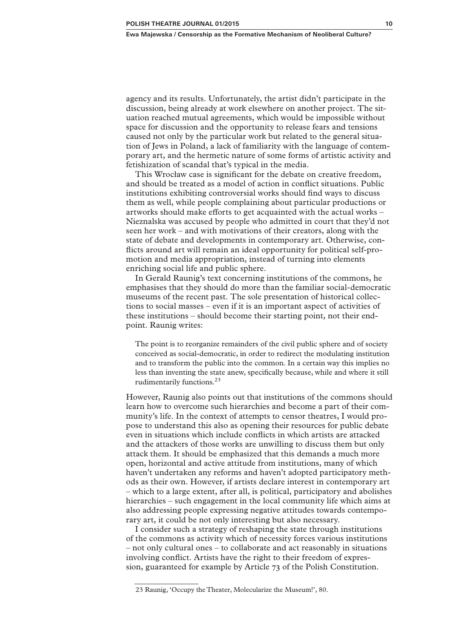agency and its results. Unfortunately, the artist didn't participate in the discussion, being already at work elsewhere on another project. The situation reached mutual agreements, which would be impossible without space for discussion and the opportunity to release fears and tensions caused not only by the particular work but related to the general situation of Jews in Poland, a lack of familiarity with the language of contemporary art, and the hermetic nature of some forms of artistic activity and fetishization of scandal that's typical in the media.

This Wrocław case is significant for the debate on creative freedom, and should be treated as a model of action in conflict situations. Public institutions exhibiting controversial works should find ways to discuss them as well, while people complaining about particular productions or artworks should make efforts to get acquainted with the actual works – Nieznalska was accused by people who admitted in court that they'd not seen her work – and with motivations of their creators, along with the state of debate and developments in contemporary art. Otherwise, conflicts around art will remain an ideal opportunity for political self-promotion and media appropriation, instead of turning into elements enriching social life and public sphere.

In Gerald Raunig's text concerning institutions of the commons, he emphasises that they should do more than the familiar social-democratic museums of the recent past. The sole presentation of historical collections to social masses – even if it is an important aspect of activities of these institutions – should become their starting point, not their endpoint. Raunig writes:

The point is to reorganize remainders of the civil public sphere and of society conceived as social-democratic, in order to redirect the modulating institution and to transform the public into the common. In a certain way this implies no less than inventing the state anew, specifically because, while and where it still rudimentarily functions.23

However, Raunig also points out that institutions of the commons should learn how to overcome such hierarchies and become a part of their community's life. In the context of attempts to censor theatres, I would propose to understand this also as opening their resources for public debate even in situations which include conflicts in which artists are attacked and the attackers of those works are unwilling to discuss them but only attack them. It should be emphasized that this demands a much more open, horizontal and active attitude from institutions, many of which haven't undertaken any reforms and haven't adopted participatory methods as their own. However, if artists declare interest in contemporary art – which to a large extent, after all, is political, participatory and abolishes hierarchies – such engagement in the local community life which aims at also addressing people expressing negative attitudes towards contemporary art, it could be not only interesting but also necessary.

I consider such a strategy of reshaping the state through institutions of the commons as activity which of necessity forces various institutions – not only cultural ones – to collaborate and act reasonably in situations involving conflict. Artists have the right to their freedom of expression, guaranteed for example by Article 73 of the Polish Constitution.

<sup>23</sup> Raunig, 'Occupy the Theater, Molecularize the Museum!', 80.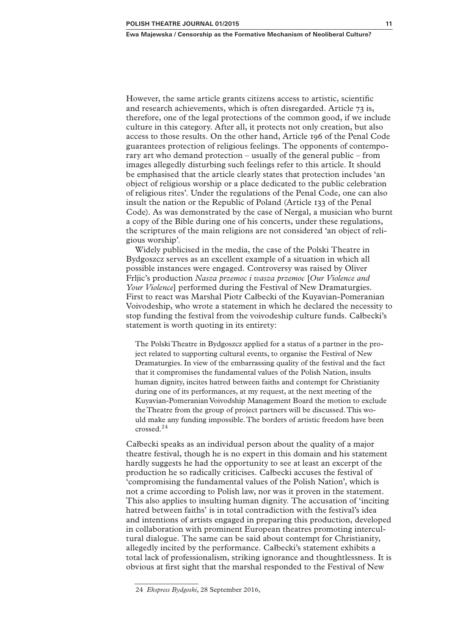However, the same article grants citizens access to artistic, scientific and research achievements, which is often disregarded. Article 73 is, therefore, one of the legal protections of the common good, if we include culture in this category. After all, it protects not only creation, but also access to those results. On the other hand, Article 196 of the Penal Code guarantees protection of religious feelings. The opponents of contemporary art who demand protection – usually of the general public – from images allegedly disturbing such feelings refer to this article. It should be emphasised that the article clearly states that protection includes 'an object of religious worship or a place dedicated to the public celebration of religious rites'. Under the regulations of the Penal Code, one can also insult the nation or the Republic of Poland (Article 133 of the Penal Code). As was demonstrated by the case of Nergal, a musician who burnt a copy of the Bible during one of his concerts, under these regulations, the scriptures of the main religions are not considered 'an object of religious worship'.

Widely publicised in the media, the case of the Polski Theatre in Bydgoszcz serves as an excellent example of a situation in which all possible instances were engaged. Controversy was raised by Oliver Frljic's production *Nasza przemoc i wasza przemoc* [*Our Violence and Your Violence*] performed during the Festival of New Dramaturgies*.* First to react was Marshal Piotr Całbecki of the Kuyavian-Pomeranian Voivodeship, who wrote a statement in which he declared the necessity to stop funding the festival from the voivodeship culture funds. Całbecki's statement is worth quoting in its entirety:

The Polski Theatre in Bydgoszcz applied for a status of a partner in the project related to supporting cultural events, to organise the Festival of New Dramaturgies. In view of the embarrassing quality of the festival and the fact that it compromises the fundamental values of the Polish Nation, insults human dignity, incites hatred between faiths and contempt for Christianity during one of its performances, at my request, at the next meeting of the Kuyavian-Pomeranian Voivodship Management Board the motion to exclude the Theatre from the group of project partners will be discussed. This would make any funding impossible. The borders of artistic freedom have been crossed.24

Całbecki speaks as an individual person about the quality of a major theatre festival, though he is no expert in this domain and his statement hardly suggests he had the opportunity to see at least an excerpt of the production he so radically criticises. Całbecki accuses the festival of 'compromising the fundamental values of the Polish Nation', which is not a crime according to Polish law, nor was it proven in the statement. This also applies to insulting human dignity. The accusation of 'inciting hatred between faiths' is in total contradiction with the festival's idea and intentions of artists engaged in preparing this production, developed in collaboration with prominent European theatres promoting intercultural dialogue. The same can be said about contempt for Christianity, allegedly incited by the performance. Całbecki's statement exhibits a total lack of professionalism, striking ignorance and thoughtlessness. It is obvious at first sight that the marshal responded to the Festival of New

<sup>24</sup> *Ekspress Bydgoski*, 28 September 2016,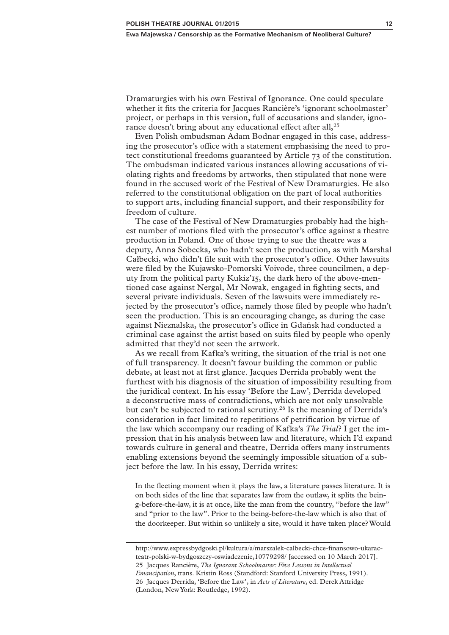Dramaturgies with his own Festival of Ignorance. One could speculate whether it fits the criteria for Jacques Rancière's 'ignorant schoolmaster' project, or perhaps in this version, full of accusations and slander, ignorance doesn't bring about any educational effect after all,<sup>25</sup>

Even Polish ombudsman Adam Bodnar engaged in this case, addressing the prosecutor's office with a statement emphasising the need to protect constitutional freedoms guaranteed by Article 73 of the constitution. The ombudsman indicated various instances allowing accusations of violating rights and freedoms by artworks, then stipulated that none were found in the accused work of the Festival of New Dramaturgies. He also referred to the constitutional obligation on the part of local authorities to support arts, including financial support, and their responsibility for freedom of culture.

The case of the Festival of New Dramaturgies probably had the highest number of motions filed with the prosecutor's office against a theatre production in Poland. One of those trying to sue the theatre was a deputy, Anna Sobecka, who hadn't seen the production, as with Marshal Całbecki, who didn't file suit with the prosecutor's office. Other lawsuits were filed by the Kujawsko-Pomorski Voivode, three councilmen, a deputy from the political party Kukiz'15, the dark hero of the above-mentioned case against Nergal, Mr Nowak, engaged in fighting sects, and several private individuals. Seven of the lawsuits were immediately rejected by the prosecutor's office, namely those filed by people who hadn't seen the production. This is an encouraging change, as during the case against Nieznalska, the prosecutor's office in Gdańsk had conducted a criminal case against the artist based on suits filed by people who openly admitted that they'd not seen the artwork.

As we recall from Kafka's writing, the situation of the trial is not one of full transparency. It doesn't favour building the common or public debate, at least not at first glance. Jacques Derrida probably went the furthest with his diagnosis of the situation of impossibility resulting from the juridical context. In his essay 'Before the Law', Derrida developed a deconstructive mass of contradictions, which are not only unsolvable but can't be subjected to rational scrutiny.<sup>26</sup> Is the meaning of Derrida's consideration in fact limited to repetitions of petrification by virtue of the law which accompany our reading of Kafka's *The Trial*? I get the impression that in his analysis between law and literature, which I'd expand towards culture in general and theatre, Derrida offers many instruments enabling extensions beyond the seemingly impossible situation of a subject before the law. In his essay, Derrida writes:

In the fleeting moment when it plays the law, a literature passes literature. It is on both sides of the line that separates law from the outlaw, it splits the being-before-the-law, it is at once, like the man from the country, "before the law" and "prior to the law". Prior to the being-before-the-law which is also that of the doorkeeper. But within so unlikely a site, would it have taken place? Would

http://www.expressbydgoski.pl/kultura/a/marszalek-calbecki-chce-finansowo-ukaracteatr-polski-w-bydgoszczy-oswiadczenie,10779298/ [accessed on 10 March 2017]. 25 Jacques Rancière, *The Ignorant Schoolmaster: Five Lessons in Intellectual Emancipation*, trans. Kristin Ross (Standford: Stanford University Press, 1991). 26 Jacques Derrida, 'Before the Law', in *Acts of Literature*, ed. Derek Attridge (London, New York: Routledge, 1992).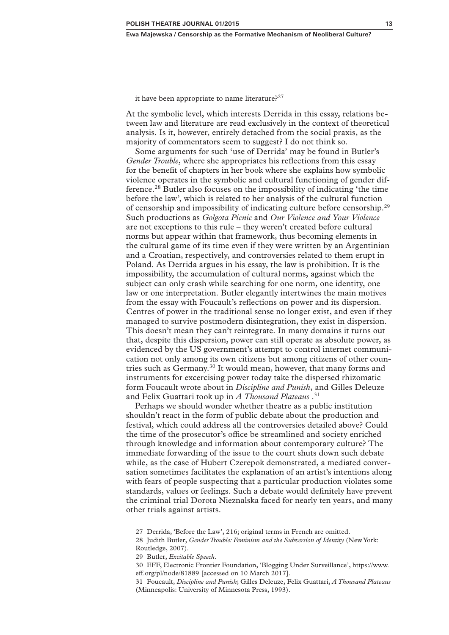it have been appropriate to name literature?<sup>27</sup>

At the symbolic level, which interests Derrida in this essay, relations between law and literature are read exclusively in the context of theoretical analysis. Is it, however, entirely detached from the social praxis, as the majority of commentators seem to suggest? I do not think so.

Some arguments for such 'use of Derrida' may be found in Butler's *Gender Trouble*, where she appropriates his reflections from this essay for the benefit of chapters in her book where she explains how symbolic violence operates in the symbolic and cultural functioning of gender difference.28 Butler also focuses on the impossibility of indicating 'the time before the law', which is related to her analysis of the cultural function of censorship and impossibility of indicating culture before censorship.29 Such productions as *Golgota Picnic* and *Our Violence and Your Violence* are not exceptions to this rule – they weren't created before cultural norms but appear within that framework, thus becoming elements in the cultural game of its time even if they were written by an Argentinian and a Croatian, respectively, and controversies related to them erupt in Poland. As Derrida argues in his essay, the law is prohibition. It is the impossibility, the accumulation of cultural norms, against which the subject can only crash while searching for one norm, one identity, one law or one interpretation. Butler elegantly intertwines the main motives from the essay with Foucault's reflections on power and its dispersion. Centres of power in the traditional sense no longer exist, and even if they managed to survive postmodern disintegration, they exist in dispersion. This doesn't mean they can't reintegrate. In many domains it turns out that, despite this dispersion, power can still operate as absolute power, as evidenced by the US government's attempt to control internet communication not only among its own citizens but among citizens of other countries such as Germany.30 It would mean, however, that many forms and instruments for excercising power today take the dispersed rhizomatic form Foucault wrote about in *Discipline and Punish*, and Gilles Deleuze and Felix Guattari took up in *A Thousand Plateaus* .31

Perhaps we should wonder whether theatre as a public institution shouldn't react in the form of public debate about the production and festival, which could address all the controversies detailed above? Could the time of the prosecutor's office be streamlined and society enriched through knowledge and information about contemporary culture? The immediate forwarding of the issue to the court shuts down such debate while, as the case of Hubert Czerepok demonstrated, a mediated conversation sometimes facilitates the explanation of an artist's intentions along with fears of people suspecting that a particular production violates some standards, values or feelings. Such a debate would definitely have prevent the criminal trial Dorota Nieznalska faced for nearly ten years, and many other trials against artists.

<sup>27</sup> Derrida, 'Before the Law', 216; original terms in French are omitted.

<sup>28</sup> Judith Butler, *Gender Trouble: Feminism and the Subversion of Identity* (New York: Routledge, 2007).

<sup>29</sup> Butler, *Excitable Speech*.

<sup>30</sup> EFF, Electronic Frontier Foundation, 'Blogging Under Surveillance', https://www. eff.org/pl/node/81889 [accessed on 10 March 2017].

<sup>31</sup> Foucault, *Discipline and Punish*; Gilles Deleuze, Felix Guattari, *A Thousand Plateaus* (Minneapolis: University of Minnesota Press, 1993).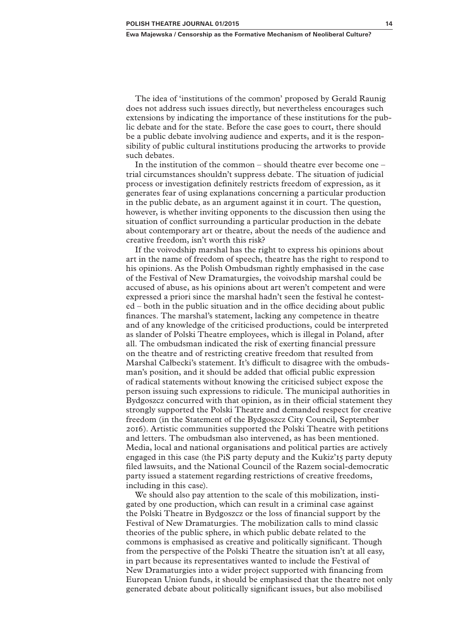The idea of 'institutions of the common' proposed by Gerald Raunig does not address such issues directly, but nevertheless encourages such extensions by indicating the importance of these institutions for the public debate and for the state. Before the case goes to court, there should be a public debate involving audience and experts, and it is the responsibility of public cultural institutions producing the artworks to provide such debates.

In the institution of the common – should theatre ever become one – trial circumstances shouldn't suppress debate. The situation of judicial process or investigation definitely restricts freedom of expression, as it generates fear of using explanations concerning a particular production in the public debate, as an argument against it in court. The question, however, is whether inviting opponents to the discussion then using the situation of conflict surrounding a particular production in the debate about contemporary art or theatre, about the needs of the audience and creative freedom, isn't worth this risk?

If the voivodship marshal has the right to express his opinions about art in the name of freedom of speech, theatre has the right to respond to his opinions. As the Polish Ombudsman rightly emphasised in the case of the Festival of New Dramaturgies, the voivodship marshal could be accused of abuse, as his opinions about art weren't competent and were expressed a priori since the marshal hadn't seen the festival he contested – both in the public situation and in the office deciding about public finances. The marshal's statement, lacking any competence in theatre and of any knowledge of the criticised productions, could be interpreted as slander of Polski Theatre employees, which is illegal in Poland, after all. The ombudsman indicated the risk of exerting financial pressure on the theatre and of restricting creative freedom that resulted from Marshal Całbecki's statement. It's difficult to disagree with the ombudsman's position, and it should be added that official public expression of radical statements without knowing the criticised subject expose the person issuing such expressions to ridicule. The municipal authorities in Bydgoszcz concurred with that opinion, as in their official statement they strongly supported the Polski Theatre and demanded respect for creative freedom (in the Statement of the Bydgoszcz City Council, September 2016). Artistic communities supported the Polski Theatre with petitions and letters. The ombudsman also intervened, as has been mentioned. Media, local and national organisations and political parties are actively engaged in this case (the PiS party deputy and the Kukiz'15 party deputy filed lawsuits, and the National Council of the Razem social-democratic party issued a statement regarding restrictions of creative freedoms, including in this case).

We should also pay attention to the scale of this mobilization, instigated by one production, which can result in a criminal case against the Polski Theatre in Bydgoszcz or the loss of financial support by the Festival of New Dramaturgies. The mobilization calls to mind classic theories of the public sphere, in which public debate related to the commons is emphasised as creative and politically significant. Though from the perspective of the Polski Theatre the situation isn't at all easy, in part because its representatives wanted to include the Festival of New Dramaturgies into a wider project supported with financing from European Union funds, it should be emphasised that the theatre not only generated debate about politically significant issues, but also mobilised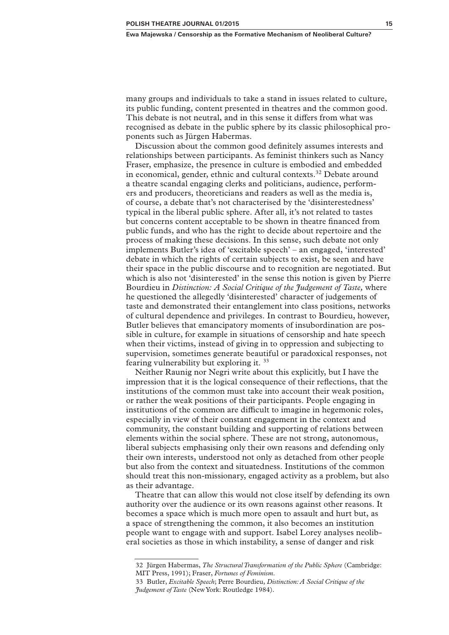many groups and individuals to take a stand in issues related to culture, its public funding, content presented in theatres and the common good. This debate is not neutral, and in this sense it differs from what was recognised as debate in the public sphere by its classic philosophical proponents such as Jürgen Habermas.

Discussion about the common good definitely assumes interests and relationships between participants. As feminist thinkers such as Nancy Fraser, emphasize, the presence in culture is embodied and embedded in economical, gender, ethnic and cultural contexts.<sup>32</sup> Debate around a theatre scandal engaging clerks and politicians, audience, performers and producers, theoreticians and readers as well as the media is, of course, a debate that's not characterised by the 'disinterestedness' typical in the liberal public sphere. After all, it's not related to tastes but concerns content acceptable to be shown in theatre financed from public funds, and who has the right to decide about repertoire and the process of making these decisions. In this sense, such debate not only implements Butler's idea of 'excitable speech' – an engaged, 'interested' debate in which the rights of certain subjects to exist, be seen and have their space in the public discourse and to recognition are negotiated. But which is also not 'disinterested' in the sense this notion is given by Pierre Bourdieu in *Distinction: A Social Critique of the Judgement of Taste,* where he questioned the allegedly 'disinterested' character of judgements of taste and demonstrated their entanglement into class positions, networks of cultural dependence and privileges. In contrast to Bourdieu, however, Butler believes that emancipatory moments of insubordination are possible in culture, for example in situations of censorship and hate speech when their victims, instead of giving in to oppression and subjecting to supervision, sometimes generate beautiful or paradoxical responses, not fearing vulnerability but exploring it. 33

Neither Raunig nor Negri write about this explicitly, but I have the impression that it is the logical consequence of their reflections, that the institutions of the common must take into account their weak position, or rather the weak positions of their participants. People engaging in institutions of the common are difficult to imagine in hegemonic roles, especially in view of their constant engagement in the context and community, the constant building and supporting of relations between elements within the social sphere. These are not strong, autonomous, liberal subjects emphasising only their own reasons and defending only their own interests, understood not only as detached from other people but also from the context and situatedness. Institutions of the common should treat this non-missionary, engaged activity as a problem, but also as their advantage.

Theatre that can allow this would not close itself by defending its own authority over the audience or its own reasons against other reasons. It becomes a space which is much more open to assault and hurt but, as a space of strengthening the common, it also becomes an institution people want to engage with and support. Isabel Lorey analyses neoliberal societies as those in which instability, a sense of danger and risk

<sup>32</sup> Jürgen Habermas, *The Structural Transformation of the Public Sphere* (Cambridge: MIT Press, 1991); Fraser, *Fortunes of Feminism*.

<sup>33</sup> Butler, *Excitable Speech*; Perre Bourdieu, *Distinction: A Social Critique of the Judgement of Taste* (New York: Routledge 1984).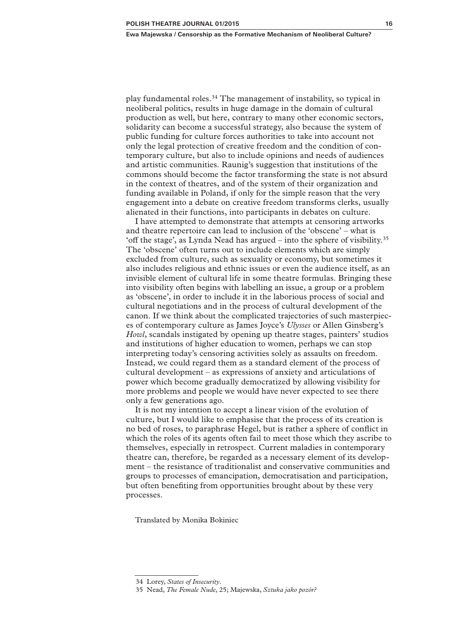play fundamental roles.34 The management of instability, so typical in neoliberal politics, results in huge damage in the domain of cultural production as well, but here, contrary to many other economic sectors, solidarity can become a successful strategy, also because the system of public funding for culture forces authorities to take into account not only the legal protection of creative freedom and the condition of contemporary culture, but also to include opinions and needs of audiences and artistic communities. Raunig's suggestion that institutions of the commons should become the factor transforming the state is not absurd in the context of theatres, and of the system of their organization and funding available in Poland, if only for the simple reason that the very engagement into a debate on creative freedom transforms clerks, usually alienated in their functions, into participants in debates on culture.

I have attempted to demonstrate that attempts at censoring artworks and theatre repertoire can lead to inclusion of the 'obscene' – what is 'off the stage', as Lynda Nead has argued – into the sphere of visibility.35 The 'obscene' often turns out to include elements which are simply excluded from culture, such as sexuality or economy, but sometimes it also includes religious and ethnic issues or even the audience itself, as an invisible element of cultural life in some theatre formulas. Bringing these into visibility often begins with labelling an issue, a group or a problem as 'obscene', in order to include it in the laborious process of social and cultural negotiations and in the process of cultural development of the canon. If we think about the complicated trajectories of such masterpieces of contemporary culture as James Joyce's *Ulysses* or Allen Ginsberg's *Howl*, scandals instigated by opening up theatre stages, painters' studios and institutions of higher education to women, perhaps we can stop interpreting today's censoring activities solely as assaults on freedom. Instead, we could regard them as a standard element of the process of cultural development – as expressions of anxiety and articulations of power which become gradually democratized by allowing visibility for more problems and people we would have never expected to see there only a few generations ago.

It is not my intention to accept a linear vision of the evolution of culture, but I would like to emphasise that the process of its creation is no bed of roses, to paraphrase Hegel, but is rather a sphere of conflict in which the roles of its agents often fail to meet those which they ascribe to themselves, especially in retrospect. Current maladies in contemporary theatre can, therefore, be regarded as a necessary element of its development – the resistance of traditionalist and conservative communities and groups to processes of emancipation, democratisation and participation, but often benefiting from opportunities brought about by these very processes.

Translated by Monika Bokiniec

<sup>34</sup> Lorey, *States of Insecurity*.

<sup>35</sup> Nead, *The Female Nude*, 25; Majewska, *Sztuka jako pozór?*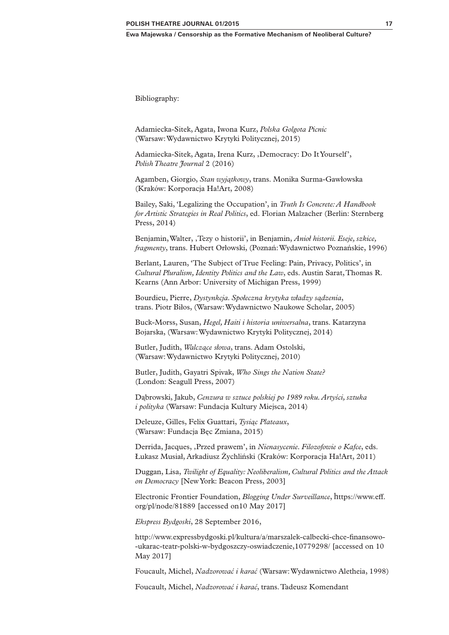Bibliography:

Adamiecka-Sitek, Agata, Iwona Kurz, *Polska Golgota Picnic* (Warsaw: Wydawnictwo Krytyki Politycznej, 2015)

Adamiecka-Sitek, Agata, Irena Kurz, ,Democracy: Do It Yourself', *Polish Theatre Journal* 2 (2016)

Agamben, Giorgio, *Stan wyjątkowy*, trans. Monika Surma-Gawłowska (Kraków: Korporacja Ha!Art, 2008)

Bailey, Saki, 'Legalizing the Occupation', in *Truth Is Concrete: A Handbook for Artistic Strategies in Real Politics*, ed. Florian Malzacher (Berlin: Sternberg Press, 2014)

Benjamin, Walter, 'Tezy o historii', in Benjamin, *Anioł historii. Eseje, szkice, fragmenty*, trans. Hubert Orłowski, (Poznań: Wydawnictwo Poznańskie, 1996)

Berlant, Lauren, 'The Subject of True Feeling: Pain, Privacy, Politics', in *Cultural Pluralism, Identity Politics and the Law*, eds. Austin Sarat, Thomas R. Kearns (Ann Arbor: University of Michigan Press, 1999)

Bourdieu, Pierre, *Dystynkcja. Społeczna krytyka władzy sądzenia*, trans. Piotr Biłos, (Warsaw: Wydawnictwo Naukowe Scholar, 2005)

Buck-Morss, Susan, *Hegel, Haiti i historia uniwersalna*, trans. Katarzyna Bojarska, (Warsaw: Wydawnictwo Krytyki Politycznej, 2014)

Butler, Judith, *Walczące słowa*, trans. Adam Ostolski, (Warsaw: Wydawnictwo Krytyki Politycznej, 2010)

Butler, Judith, Gayatri Spivak, *Who Sings the Nation State?* (London: Seagull Press, 2007)

Dąbrowski, Jakub, *Cenzura w sztuce polskiej po 1989 roku. Artyści, sztuka i polityka* (Warsaw: Fundacja Kultury Miejsca, 2014)

Deleuze, Gilles, Felix Guattari, *Tysiąc Plateaux*, (Warsaw: Fundacja Bęc Zmiana, 2015)

Derrida, Jacques, ,Przed prawem', in *Nienasycenie. Filozofowie o Kafce*, eds. Łukasz Musiał, Arkadiusz Żychliński (Kraków: Korporacja Ha!Art, 2011)

Duggan, Lisa, *Twilight of Equality: Neoliberalism, Cultural Politics and the Attack on Democracy* [New York: Beacon Press, 2003]

Electronic Frontier Foundation, *Blogging Under Surveillance*, https://www.eff. org/pl/node/81889 [accessed on10 May 2017]

*Ekspress Bydgoski*, 28 September 2016,

http://www.expressbydgoski.pl/kultura/a/marszalek-calbecki-chce-finansowo- -ukarac-teatr-polski-w-bydgoszczy-oswiadczenie,10779298/ [accessed on 10 May 2017]

Foucault, Michel, *Nadzorować i karać* (Warsaw: Wydawnictwo Aletheia, 1998)

Foucault, Michel, *Nadzorować i karać*, trans. Tadeusz Komendant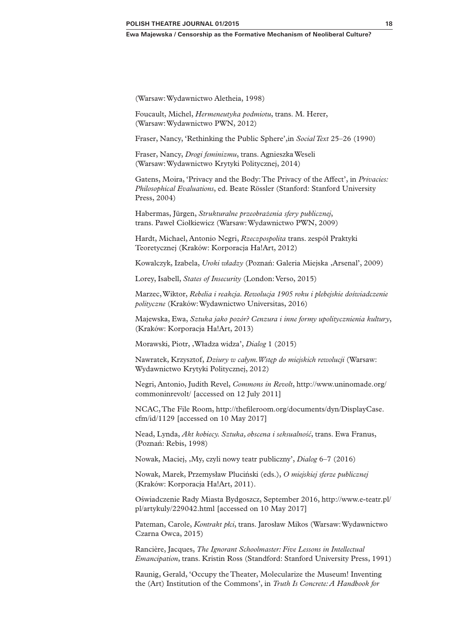(Warsaw: Wydawnictwo Aletheia, 1998)

Foucault, Michel, *Hermeneutyka podmiotu*, trans. M. Herer, (Warsaw: Wydawnictwo PWN, 2012)

Fraser, Nancy, 'Rethinking the Public Sphere',in *Social Text* 25–26 (1990)

Fraser, Nancy, *Drogi feminizmu*, trans. Agnieszka Weseli (Warsaw: Wydawnictwo Krytyki Politycznej, 2014)

Gatens, Moira, 'Privacy and the Body: The Privacy of the Affect', in *Privacies: Philosophical Evaluations*, ed. Beate Rössler (Stanford: Stanford University Press, 2004)

Habermas, Jürgen, *Strukturalne przeobrażenia sfery publicznej*, trans. Paweł Ciołkiewicz (Warsaw: Wydawnictwo PWN, 2009)

Hardt, Michael, Antonio Negri, *Rzeczpospolita* trans. zespół Praktyki Teoretycznej (Kraków: Korporacja Ha!Art, 2012)

Kowalczyk, Izabela, *Uroki władzy* (Poznań: Galeria Miejska , Arsenal', 2009)

Lorey, Isabell, *States of Insecurity* (London: Verso, 2015)

Marzec, Wiktor, *Rebelia i reakcja. Rewolucja 1905 roku i plebejskie doświadczenie polityczne* (Kraków: Wydawnictwo Universitas, 2016)

Majewska, Ewa, *Sztuka jako pozór? Cenzura i inne formy upolitycznienia kultury*, (Kraków: Korporacja Ha!Art, 2013)

Morawski, Piotr, 'Władza widza', *Dialog* 1 (2015)

Nawratek, Krzysztof, *Dziury w całym. Wstęp do miejskich rewolucji* (Warsaw: Wydawnictwo Krytyki Politycznej, 2012)

Negri, Antonio, Judith Revel, *Commons in Revolt*, http://www.uninomade.org/ commoninrevolt/ [accessed on 12 July 2011]

NCAC, The File Room, http://thefileroom.org/documents/dyn/DisplayCase. cfm/id/1129 [accessed on 10 May 2017]

Nead, Lynda, *Akt kobiecy. Sztuka, obscena i seksualność*, trans. Ewa Franus, (Poznań: Rebis, 1998)

Nowak, Maciej, 'My, czyli nowy teatr publiczny', *Dialog* 6–7 (2016)

Nowak, Marek, Przemysław Pluciński (eds.), *O miejskiej sferze publicznej* (Kraków: Korporacja Ha!Art, 2011).

Oświadczenie Rady Miasta Bydgoszcz, September 2016, http://www.e-teatr.pl/ pl/artykuly/229042.html [accessed on 10 May 2017]

Pateman, Carole, *Kontrakt płci*, trans. Jarosław Mikos (Warsaw: Wydawnictwo Czarna Owca, 2015)

Rancière, Jacques, *The Ignorant Schoolmaster: Five Lessons in Intellectual Emancipation*, trans. Kristin Ross (Standford: Stanford University Press, 1991)

Raunig, Gerald, 'Occupy the Theater, Molecularize the Museum! Inventing the (Art) Institution of the Commons', in *Truth Is Concrete: A Handbook for*